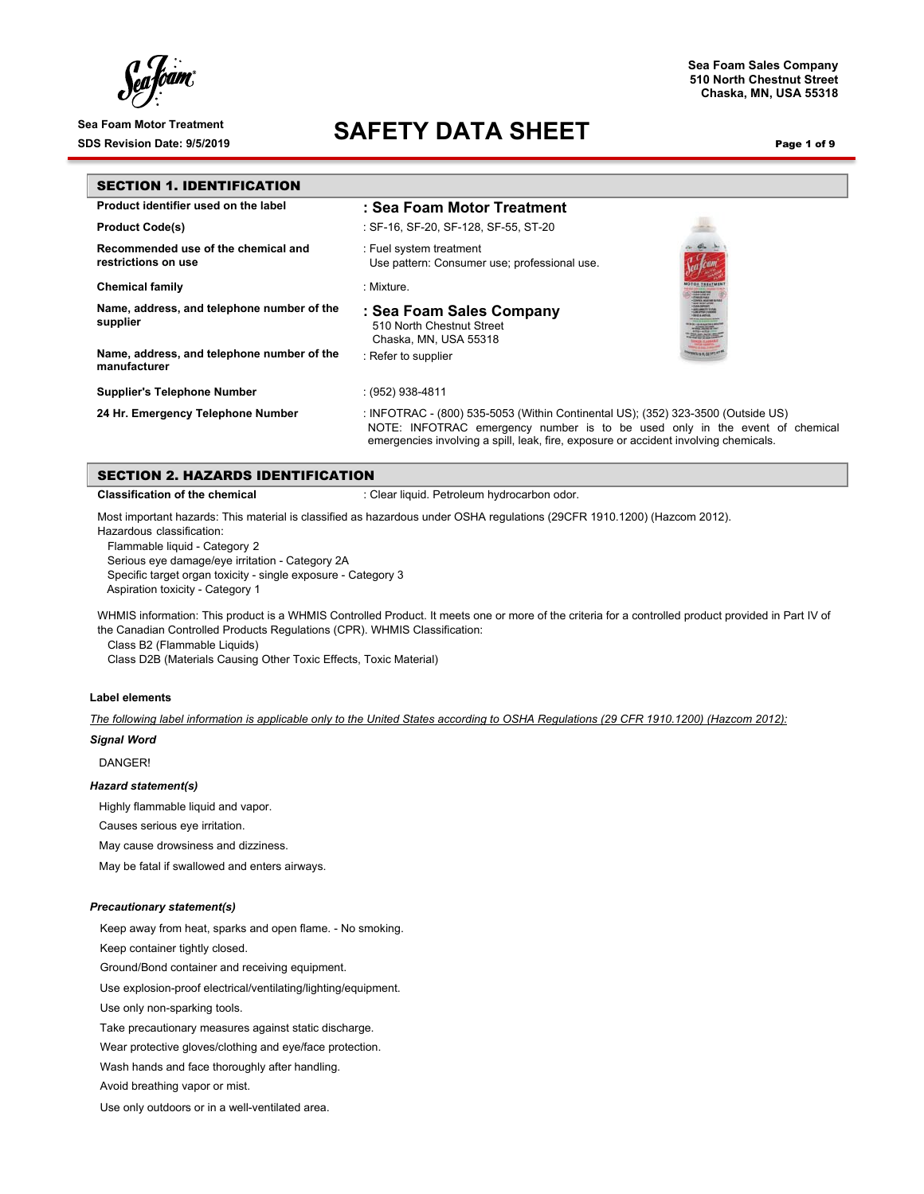ſ

## Sea Foam Motor Treatment<br>SDS Revision Date: 9/5/2019<br>**SAFETY DATA SHEET**

**Sea Foam Sales Company 510 North Chestnut Street Chaska, MN, USA 55318**

Page 1 of 9

| <b>SECTION 1. IDENTIFICATION</b>                           |                                                                                                                                                                                                                                                         |  |
|------------------------------------------------------------|---------------------------------------------------------------------------------------------------------------------------------------------------------------------------------------------------------------------------------------------------------|--|
| Product identifier used on the label                       | : Sea Foam Motor Treatment                                                                                                                                                                                                                              |  |
| <b>Product Code(s)</b>                                     | : SF-16, SF-20, SF-128, SF-55, ST-20                                                                                                                                                                                                                    |  |
| Recommended use of the chemical and<br>restrictions on use | : Fuel system treatment<br>Use pattern: Consumer use; professional use.                                                                                                                                                                                 |  |
| <b>Chemical family</b>                                     | : Mixture.                                                                                                                                                                                                                                              |  |
| Name, address, and telephone number of the<br>supplier     | : Sea Foam Sales Company<br>510 North Chestnut Street<br>Chaska, MN, USA 55318                                                                                                                                                                          |  |
| Name, address, and telephone number of the<br>manufacturer | : Refer to supplier                                                                                                                                                                                                                                     |  |
| <b>Supplier's Telephone Number</b>                         | $(952)$ 938-4811                                                                                                                                                                                                                                        |  |
| 24 Hr. Emergency Telephone Number                          | : INFOTRAC - (800) 535-5053 (Within Continental US); (352) 323-3500 (Outside US)<br>NOTE: INFOTRAC emergency number is to be used only in the event of chemical<br>emergencies involving a spill, leak, fire, exposure or accident involving chemicals. |  |

|  | SECTION 2. HAZARDS IDENTIFICATION |
|--|-----------------------------------|

**Classification of the chemical integral in the chemical classification of the chemical classification** 

Most important hazards: This material is classified as hazardous under OSHA regulations (29CFR 1910.1200) (Hazcom 2012).

Hazardous classification:

Flammable liquid - Category 2

Serious eye damage/eye irritation - Category 2A Specific target organ toxicity - single exposure - Category 3 Aspiration toxicity - Category 1

WHMIS information: This product is a WHMIS Controlled Product. It meets one or more of the criteria for a controlled product provided in Part IV of the Canadian Controlled Products Regulations (CPR). WHMIS Classification:

Class B2 (Flammable Liquids)

Class D2B (Materials Causing Other Toxic Effects, Toxic Material)

#### **Label elements**

*The following label information is applicable only to the United States according to OSHA Regulations (29 CFR 1910.1200) (Hazcom 2012):*

#### *Signal Word*

DANGER!

#### *Hazard statement(s)*

Highly flammable liquid and vapor.

Causes serious eye irritation.

May cause drowsiness and dizziness.

May be fatal if swallowed and enters airways.

#### *Precautionary statement(s)*

Keep away from heat, sparks and open flame. - No smoking.

Keep container tightly closed.

Ground/Bond container and receiving equipment.

Use explosion-proof electrical/ventilating/lighting/equipment.

Use only non-sparking tools.

Take precautionary measures against static discharge.

Wear protective gloves/clothing and eye/face protection.

Wash hands and face thoroughly after handling.

Avoid breathing vapor or mist.

Use only outdoors or in a well-ventilated area.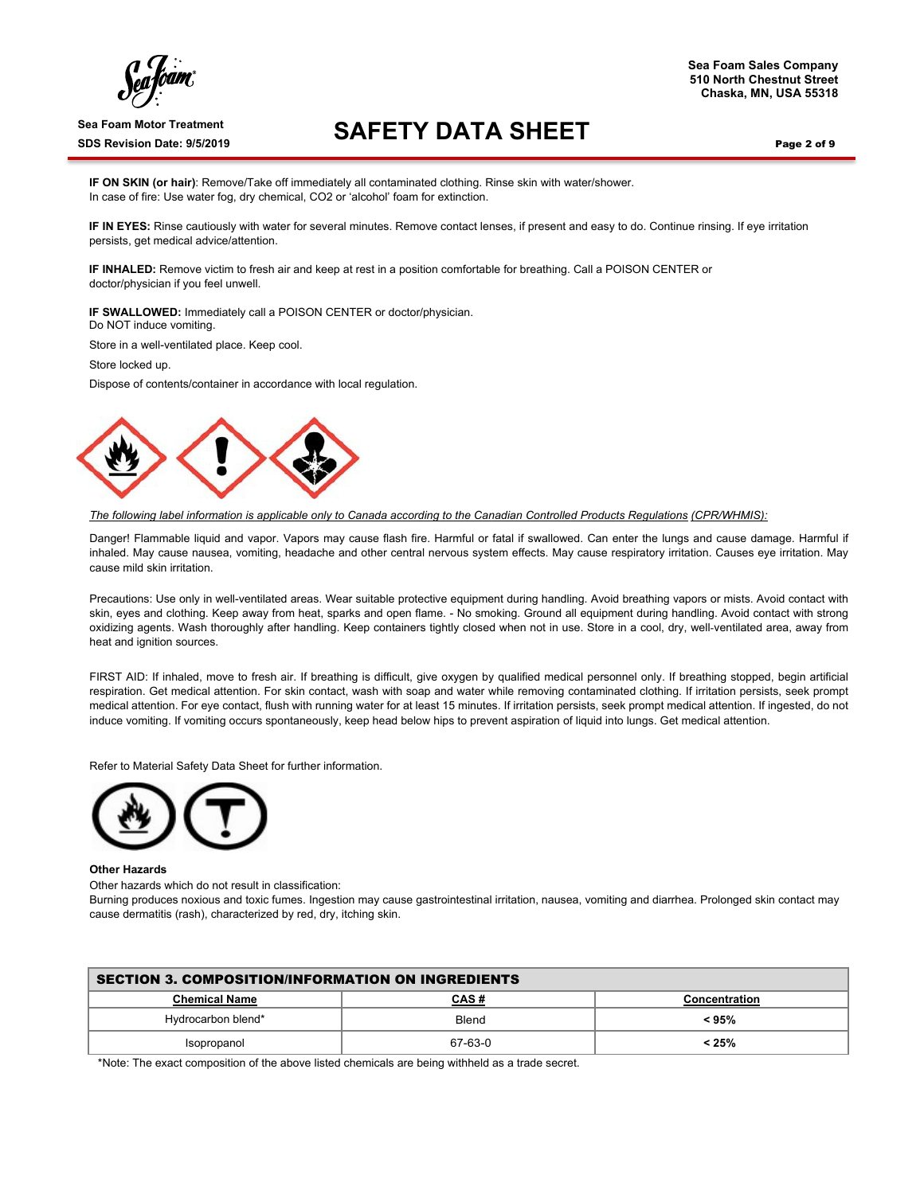ſ

## Sea Foam Motor Treatment<br>SDS Revision Date: 9/5/2019<br>**SAFETY DATA SHEET**

Page 2 of 9

**IF ON SKIN (or hair)**: Remove/Take off immediately all contaminated clothing. Rinse skin with water/shower. In case of fire: Use water fog, dry chemical, CO2 or 'alcohol' foam for extinction.

**IF IN EYES:** Rinse cautiously with water for several minutes. Remove contact lenses, if present and easy to do. Continue rinsing. If eye irritation persists, get medical advice/attention.

**IF INHALED:** Remove victim to fresh air and keep at rest in a position comfortable for breathing. Call a POISON CENTER or doctor/physician if you feel unwell.

**IF SWALLOWED:** Immediately call a POISON CENTER or doctor/physician. Do NOT induce vomiting.

Store in a well-ventilated place. Keep cool.

Store locked up.

Dispose of contents/container in accordance with local regulation.



*The following label information is applicable only to Canada according to the Canadian Controlled Products Regulations (CPR/WHMIS):*

Danger! Flammable liquid and vapor. Vapors may cause flash fire. Harmful or fatal if swallowed. Can enter the lungs and cause damage. Harmful if inhaled. May cause nausea, vomiting, headache and other central nervous system effects. May cause respiratory irritation. Causes eye irritation. May cause mild skin irritation.

Precautions: Use only in well-ventilated areas. Wear suitable protective equipment during handling. Avoid breathing vapors or mists. Avoid contact with skin, eyes and clothing. Keep away from heat, sparks and open flame. - No smoking. Ground all equipment during handling. Avoid contact with strong oxidizing agents. Wash thoroughly after handling. Keep containers tightly closed when not in use. Store in a cool, dry, well-ventilated area, away from heat and ignition sources.

FIRST AID: If inhaled, move to fresh air. If breathing is difficult, give oxygen by qualified medical personnel only. If breathing stopped, begin artificial respiration. Get medical attention. For skin contact, wash with soap and water while removing contaminated clothing. If irritation persists, seek prompt medical attention. For eye contact, flush with running water for at least 15 minutes. If irritation persists, seek prompt medical attention. If ingested, do not induce vomiting. If vomiting occurs spontaneously, keep head below hips to prevent aspiration of liquid into lungs. Get medical attention.

Refer to Material Safety Data Sheet for further information.



#### **Other Hazards**

Other hazards which do not result in classification:

Burning produces noxious and toxic fumes. Ingestion may cause gastrointestinal irritation, nausea, vomiting and diarrhea. Prolonged skin contact may cause dermatitis (rash), characterized by red, dry, itching skin.

| <b>SECTION 3. COMPOSITION/INFORMATION ON INGREDIENTS</b> |         |       |  |  |
|----------------------------------------------------------|---------|-------|--|--|
| <b>Chemical Name</b><br>CAS#<br>Concentration            |         |       |  |  |
| Hydrocarbon blend*                                       | Blend   | < 95% |  |  |
| Isopropanol                                              | 67-63-0 | < 25% |  |  |

\*Note: The exact composition of the above listed chemicals are being withheld as a trade secret.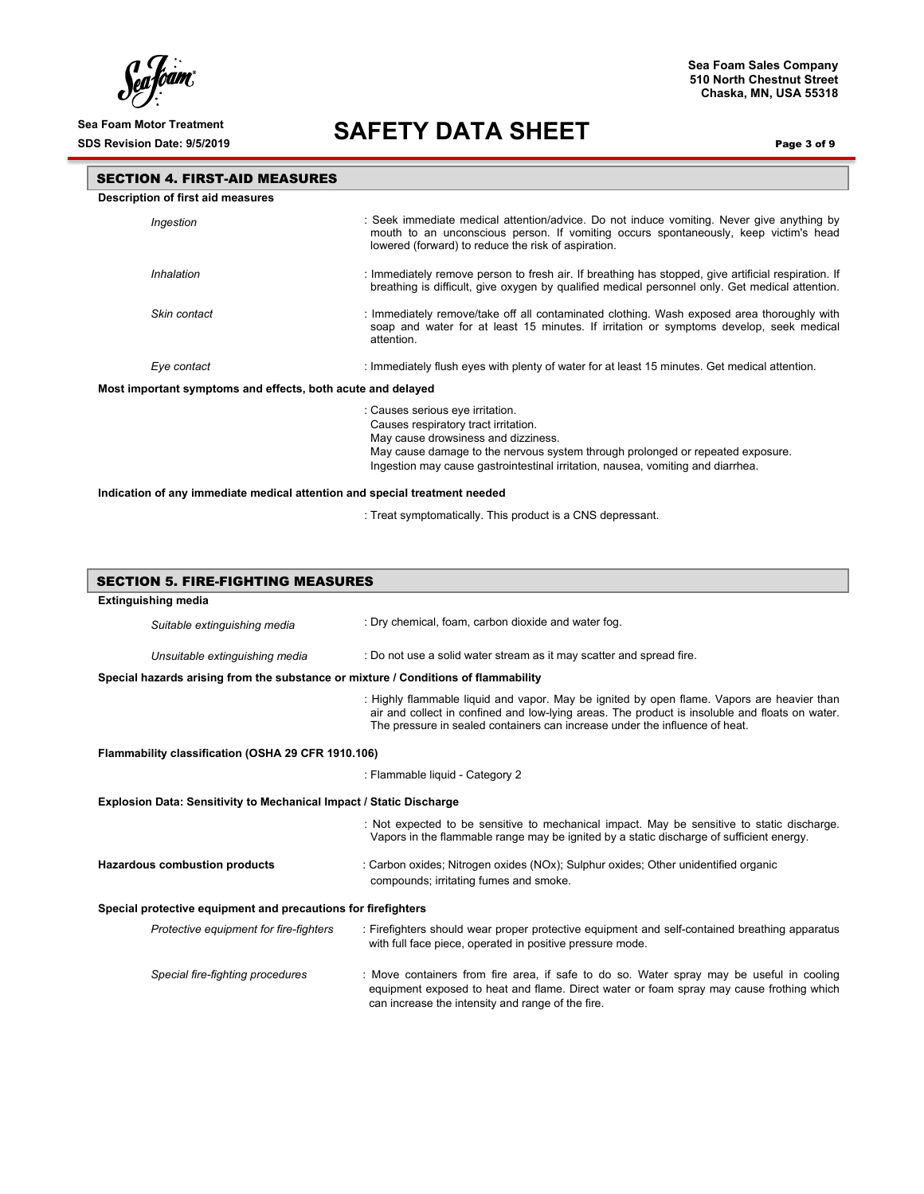$\int_{c}^{c}$ lóam,

#### **Sea Foam Sales Company 510 North Chestnut Street Chaska, MN, USA 55318**

# Sea Foam Motor Treatment<br>SDS Revision Date: 9/5/2019<br>**SAFETY DATA SHEET**

Page 3 of 9

| <b>SECTION 4. FIRST-AID MEASURES</b>                                                                                                                                                                                                                                                 |                                                                                                                                                                                                                                          |  |  |  |  |
|--------------------------------------------------------------------------------------------------------------------------------------------------------------------------------------------------------------------------------------------------------------------------------------|------------------------------------------------------------------------------------------------------------------------------------------------------------------------------------------------------------------------------------------|--|--|--|--|
| Description of first aid measures                                                                                                                                                                                                                                                    |                                                                                                                                                                                                                                          |  |  |  |  |
| Ingestion                                                                                                                                                                                                                                                                            | : Seek immediate medical attention/advice. Do not induce vomiting. Never give anything by<br>mouth to an unconscious person. If vomiting occurs spontaneously, keep victim's head<br>lowered (forward) to reduce the risk of aspiration. |  |  |  |  |
| Inhalation                                                                                                                                                                                                                                                                           | : Immediately remove person to fresh air. If breathing has stopped, give artificial respiration. If<br>breathing is difficult, give oxygen by qualified medical personnel only. Get medical attention.                                   |  |  |  |  |
| Skin contact                                                                                                                                                                                                                                                                         | : Immediately remove/take off all contaminated clothing. Wash exposed area thoroughly with<br>soap and water for at least 15 minutes. If irritation or symptoms develop, seek medical<br>attention.                                      |  |  |  |  |
| Eye contact                                                                                                                                                                                                                                                                          | : Immediately flush eyes with plenty of water for at least 15 minutes. Get medical attention.                                                                                                                                            |  |  |  |  |
| Most important symptoms and effects, both acute and delayed                                                                                                                                                                                                                          |                                                                                                                                                                                                                                          |  |  |  |  |
| : Causes serious eye irritation.<br>Causes respiratory tract irritation.<br>May cause drowsiness and dizziness.<br>May cause damage to the nervous system through prolonged or repeated exposure.<br>Ingestion may cause gastrointestinal irritation, nausea, vomiting and diarrhea. |                                                                                                                                                                                                                                          |  |  |  |  |
| Indication of any immediate medical attention and special treatment needed                                                                                                                                                                                                           |                                                                                                                                                                                                                                          |  |  |  |  |

: Treat symptomatically. This product is a CNS depressant.

| <b>SECTION 5. FIRE-FIGHTING MEASURES</b>                                                                                                                                                                                                                                    |                                                                                                                                                                                                                                           |  |  |
|-----------------------------------------------------------------------------------------------------------------------------------------------------------------------------------------------------------------------------------------------------------------------------|-------------------------------------------------------------------------------------------------------------------------------------------------------------------------------------------------------------------------------------------|--|--|
| <b>Extinguishing media</b>                                                                                                                                                                                                                                                  |                                                                                                                                                                                                                                           |  |  |
| Suitable extinguishing media                                                                                                                                                                                                                                                | : Dry chemical, foam, carbon dioxide and water fog.                                                                                                                                                                                       |  |  |
| Unsuitable extinguishing media                                                                                                                                                                                                                                              | : Do not use a solid water stream as it may scatter and spread fire.                                                                                                                                                                      |  |  |
| Special hazards arising from the substance or mixture / Conditions of flammability                                                                                                                                                                                          |                                                                                                                                                                                                                                           |  |  |
| : Highly flammable liquid and vapor. May be ignited by open flame. Vapors are heavier than<br>air and collect in confined and low-lying areas. The product is insoluble and floats on water.<br>The pressure in sealed containers can increase under the influence of heat. |                                                                                                                                                                                                                                           |  |  |
| Flammability classification (OSHA 29 CFR 1910.106)                                                                                                                                                                                                                          |                                                                                                                                                                                                                                           |  |  |
|                                                                                                                                                                                                                                                                             | : Flammable liquid - Category 2                                                                                                                                                                                                           |  |  |
| Explosion Data: Sensitivity to Mechanical Impact / Static Discharge                                                                                                                                                                                                         |                                                                                                                                                                                                                                           |  |  |
|                                                                                                                                                                                                                                                                             | : Not expected to be sensitive to mechanical impact. May be sensitive to static discharge.<br>Vapors in the flammable range may be ignited by a static discharge of sufficient energy.                                                    |  |  |
| Hazardous combustion products                                                                                                                                                                                                                                               | : Carbon oxides; Nitrogen oxides (NOx); Sulphur oxides; Other unidentified organic<br>compounds; irritating fumes and smoke.                                                                                                              |  |  |
| Special protective equipment and precautions for firefighters                                                                                                                                                                                                               |                                                                                                                                                                                                                                           |  |  |
| Protective equipment for fire-fighters                                                                                                                                                                                                                                      | : Firefighters should wear proper protective equipment and self-contained breathing apparatus<br>with full face piece, operated in positive pressure mode.                                                                                |  |  |
| Special fire-fighting procedures                                                                                                                                                                                                                                            | : Move containers from fire area, if safe to do so. Water spray may be useful in cooling<br>equipment exposed to heat and flame. Direct water or foam spray may cause frothing which<br>can increase the intensity and range of the fire. |  |  |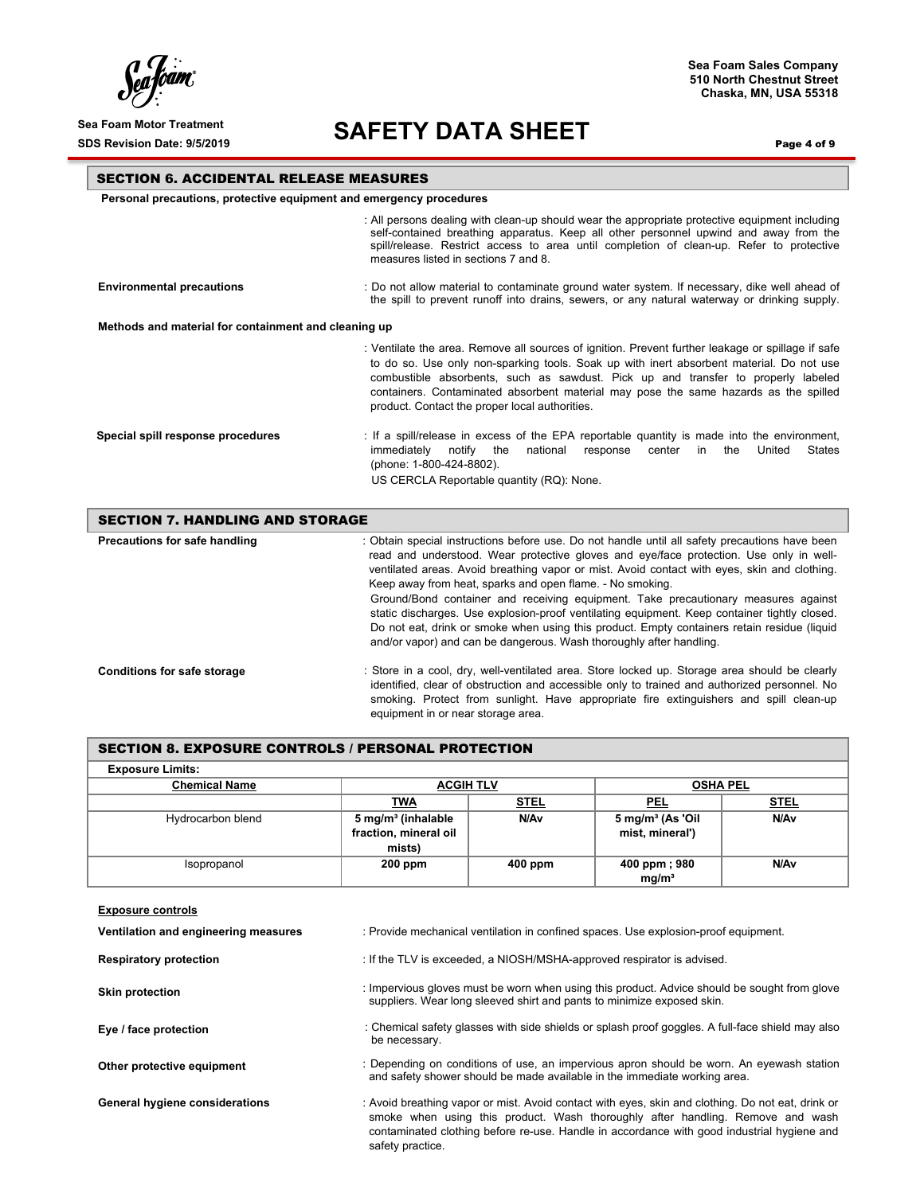ſ

#### **Sea Foam Sales Company 510 North Chestnut Street Chaska, MN, USA 55318**

# Sea Foam Motor Treatment<br>SDS Revision Date: 9/5/2019<br>**SAFETY DATA SHEET**

Page 4 of 9

#### SECTION 6. ACCIDENTAL RELEASE MEASURES

**Personal precautions, protective equipment and emergency procedures**

SECTION 8. EXPOSURE CONTROLS / PERSONAL PROTECTION

|                                                      | : All persons dealing with clean-up should wear the appropriate protective equipment including<br>self-contained breathing apparatus. Keep all other personnel upwind and away from the<br>spill/release. Restrict access to area until completion of clean-up. Refer to protective<br>measures listed in sections 7 and 8.                                                                                                  |
|------------------------------------------------------|------------------------------------------------------------------------------------------------------------------------------------------------------------------------------------------------------------------------------------------------------------------------------------------------------------------------------------------------------------------------------------------------------------------------------|
| <b>Environmental precautions</b>                     | : Do not allow material to contaminate ground water system. If necessary, dike well ahead of<br>the spill to prevent runoff into drains, sewers, or any natural waterway or drinking supply.                                                                                                                                                                                                                                 |
| Methods and material for containment and cleaning up |                                                                                                                                                                                                                                                                                                                                                                                                                              |
|                                                      | : Ventilate the area. Remove all sources of ignition. Prevent further leakage or spillage if safe<br>to do so. Use only non-sparking tools. Soak up with inert absorbent material. Do not use<br>combustible absorbents, such as sawdust. Pick up and transfer to properly labeled<br>containers. Contaminated absorbent material may pose the same hazards as the spilled<br>product. Contact the proper local authorities. |
| Special spill response procedures                    | : If a spill/release in excess of the EPA reportable quantity is made into the environment,<br>States<br>immediatelv<br>notifv<br>national<br>United<br>response<br>center<br>the<br>the<br>in<br>(phone: 1-800-424-8802).<br>US CERCLA Reportable quantity (RQ): None.                                                                                                                                                      |

| <b>SECTION 7. HANDLING AND STORAGE</b> |                                                                                                                                                                                                                                                                                                                                                                                                                                                                                                                                                                                                                                                                                                                   |  |
|----------------------------------------|-------------------------------------------------------------------------------------------------------------------------------------------------------------------------------------------------------------------------------------------------------------------------------------------------------------------------------------------------------------------------------------------------------------------------------------------------------------------------------------------------------------------------------------------------------------------------------------------------------------------------------------------------------------------------------------------------------------------|--|
| Precautions for safe handling          | : Obtain special instructions before use. Do not handle until all safety precautions have been<br>read and understood. Wear protective gloves and eye/face protection. Use only in well-<br>ventilated areas. Avoid breathing vapor or mist. Avoid contact with eyes, skin and clothing.<br>Keep away from heat, sparks and open flame. - No smoking.<br>Ground/Bond container and receiving equipment. Take precautionary measures against<br>static discharges. Use explosion-proof ventilating equipment. Keep container tightly closed.<br>Do not eat, drink or smoke when using this product. Empty containers retain residue (liquid<br>and/or vapor) and can be dangerous. Wash thoroughly after handling. |  |
| <b>Conditions for safe storage</b>     | : Store in a cool, dry, well-ventilated area. Store locked up. Storage area should be clearly<br>identified, clear of obstruction and accessible only to trained and authorized personnel. No<br>smoking. Protect from sunlight. Have appropriate fire extinguishers and spill clean-up<br>equipment in or near storage area.                                                                                                                                                                                                                                                                                                                                                                                     |  |

| <b>Exposure Limits:</b>              |                                                                                                                                                                                                                                                                                                       |             |                                   |                  |
|--------------------------------------|-------------------------------------------------------------------------------------------------------------------------------------------------------------------------------------------------------------------------------------------------------------------------------------------------------|-------------|-----------------------------------|------------------|
| <b>Chemical Name</b>                 | <b>ACGIH TLV</b>                                                                                                                                                                                                                                                                                      |             | <b>OSHA PEL</b>                   |                  |
|                                      | <b>TWA</b>                                                                                                                                                                                                                                                                                            | <b>STEL</b> | <b>PEL</b>                        | <u>STEL</u>      |
| Hydrocarbon blend                    | 5 mg/m <sup>3</sup> (inhalable                                                                                                                                                                                                                                                                        | N/Av        | $5 \text{ mg/m}^3$ (As 'Oil       | N/A <sub>v</sub> |
|                                      | fraction, mineral oil                                                                                                                                                                                                                                                                                 |             | mist, mineral')                   |                  |
|                                      | mists)                                                                                                                                                                                                                                                                                                |             |                                   |                  |
| Isopropanol                          | 200 ppm                                                                                                                                                                                                                                                                                               | 400 ppm     | 400 ppm; 980<br>ma/m <sup>3</sup> | N/A <sub>v</sub> |
| <b>Exposure controls</b>             |                                                                                                                                                                                                                                                                                                       |             |                                   |                  |
| Ventilation and engineering measures | : Provide mechanical ventilation in confined spaces. Use explosion-proof equipment.                                                                                                                                                                                                                   |             |                                   |                  |
| <b>Respiratory protection</b>        | : If the TLV is exceeded, a NIOSH/MSHA-approved respirator is advised.                                                                                                                                                                                                                                |             |                                   |                  |
| <b>Skin protection</b>               | : Impervious gloves must be worn when using this product. Advice should be sought from glove<br>suppliers. Wear long sleeved shirt and pants to minimize exposed skin.                                                                                                                                |             |                                   |                  |
| Eye / face protection                | : Chemical safety glasses with side shields or splash proof goggles. A full-face shield may also<br>be necessary.                                                                                                                                                                                     |             |                                   |                  |
| Other protective equipment           | : Depending on conditions of use, an impervious apron should be worn. An eyewash station<br>and safety shower should be made available in the immediate working area.                                                                                                                                 |             |                                   |                  |
| General hygiene considerations       | : Avoid breathing vapor or mist. Avoid contact with eyes, skin and clothing. Do not eat, drink or<br>smoke when using this product. Wash thoroughly after handling. Remove and wash<br>contaminated clothing before re-use. Handle in accordance with good industrial hygiene and<br>safety practice. |             |                                   |                  |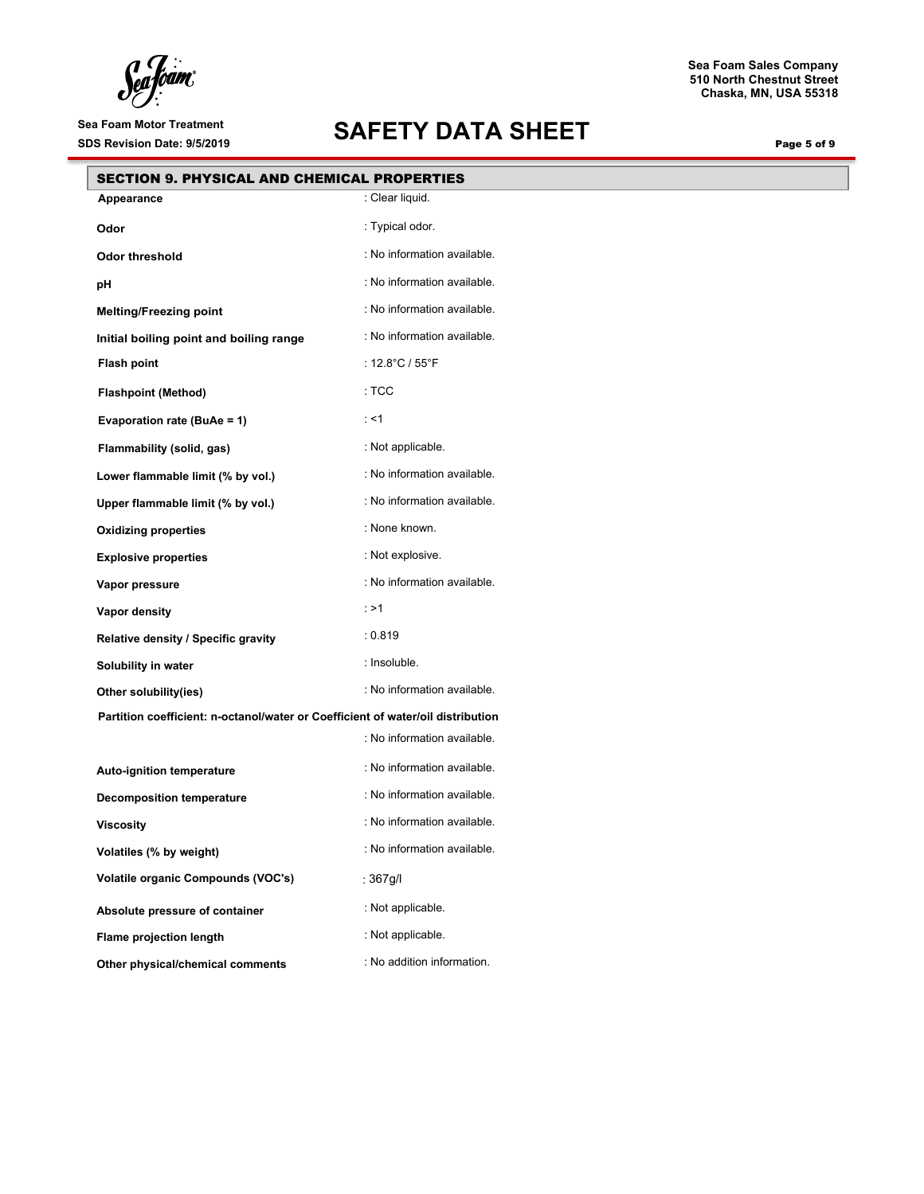Sea Joam

# Sea Foam Motor Treatment<br>SDS Revision Date: 9/5/2019<br>**SAFETY DATA SHEET**

**510 North Chestnut Street Chaska, MN, USA 55318**

**Sea Foam Sales Company**

Page 5 of 9

| <b>SECTION 9. PHYSICAL AND CHEMICAL PROPERTIES</b>                              |                                     |  |
|---------------------------------------------------------------------------------|-------------------------------------|--|
| Appearance                                                                      | : Clear liquid.                     |  |
| Odor                                                                            | : Typical odor.                     |  |
| <b>Odor threshold</b>                                                           | : No information available.         |  |
| рH                                                                              | : No information available.         |  |
| <b>Melting/Freezing point</b>                                                   | : No information available.         |  |
| Initial boiling point and boiling range                                         | : No information available.         |  |
| <b>Flash point</b>                                                              | : $12.8^{\circ}$ C / $55^{\circ}$ F |  |
| <b>Flashpoint (Method)</b>                                                      | :TCC                                |  |
| Evaporation rate (BuAe = 1)                                                     | ∶ <1                                |  |
| Flammability (solid, gas)                                                       | : Not applicable.                   |  |
| Lower flammable limit (% by vol.)                                               | : No information available.         |  |
| Upper flammable limit (% by vol.)                                               | : No information available.         |  |
| <b>Oxidizing properties</b>                                                     | : None known.                       |  |
| <b>Explosive properties</b>                                                     | : Not explosive.                    |  |
| Vapor pressure                                                                  | : No information available.         |  |
| Vapor density                                                                   | $:$ >1                              |  |
| Relative density / Specific gravity                                             | : 0.819                             |  |
| Solubility in water                                                             | : Insoluble.                        |  |
| Other solubility(ies)                                                           | : No information available.         |  |
| Partition coefficient: n-octanol/water or Coefficient of water/oil distribution |                                     |  |
|                                                                                 | : No information available.         |  |
| Auto-ignition temperature                                                       | : No information available.         |  |
| <b>Decomposition temperature</b>                                                | : No information available.         |  |
| <b>Viscosity</b>                                                                | : No information available.         |  |
| Volatiles (% by weight)                                                         | : No information available.         |  |
| Volatile organic Compounds (VOC's)                                              | : $367g/l$                          |  |
| Absolute pressure of container                                                  | : Not applicable.                   |  |
| Flame projection length                                                         | : Not applicable.                   |  |
| Other physical/chemical comments                                                | : No addition information.          |  |
|                                                                                 |                                     |  |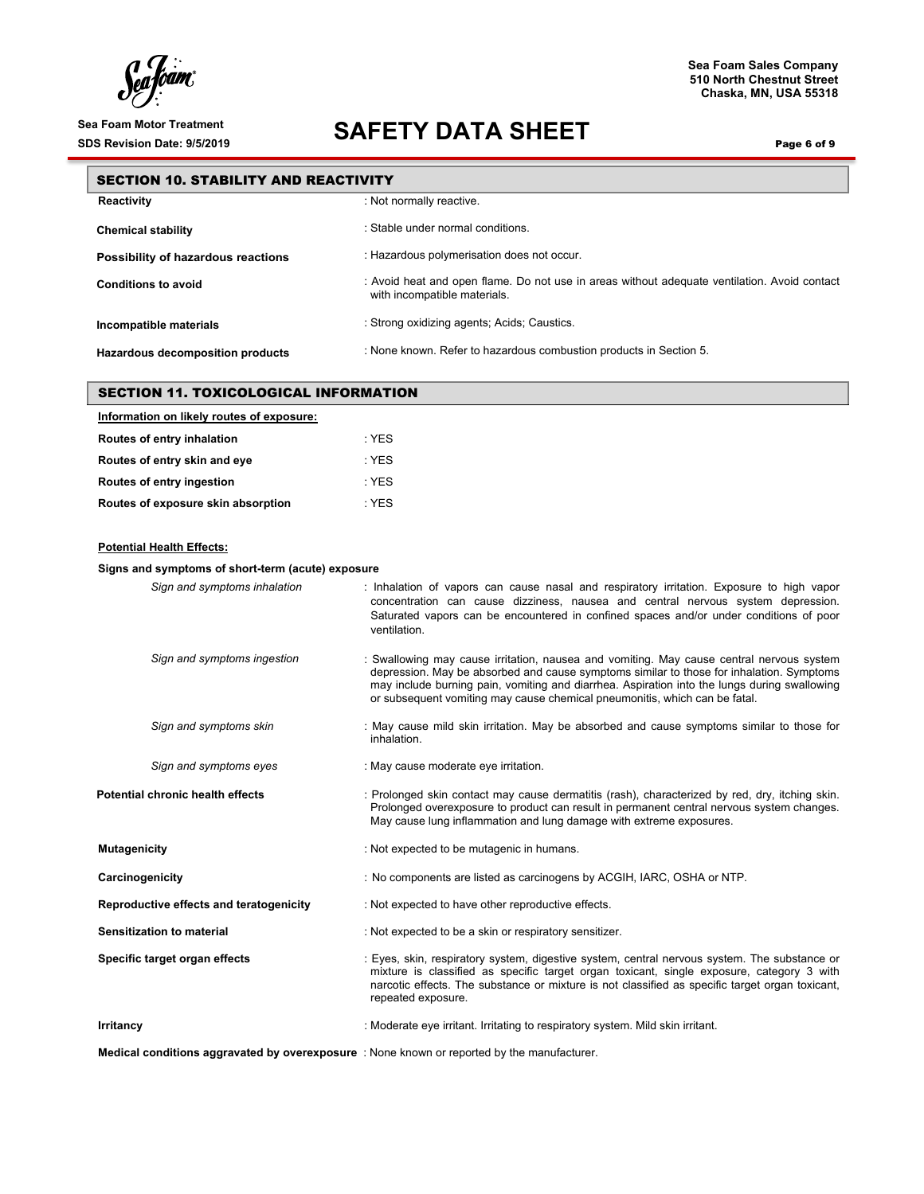ſ

#### **Sea Foam Sales Company 510 North Chestnut Street Chaska, MN, USA 55318**

### Sea Foam Motor Treatment<br>SDS Revision Date: 9/5/2019<br>**SAFETY DATA SHEET**

Page 6 of 9

|                                        | <b>SECTION 10. STABILITY AND REACTIVITY</b>                                                                                  |  |  |
|----------------------------------------|------------------------------------------------------------------------------------------------------------------------------|--|--|
| : Not normally reactive.<br>Reactivity |                                                                                                                              |  |  |
| <b>Chemical stability</b>              | : Stable under normal conditions.                                                                                            |  |  |
| Possibility of hazardous reactions     | : Hazardous polymerisation does not occur.                                                                                   |  |  |
| <b>Conditions to avoid</b>             | : Avoid heat and open flame. Do not use in areas without adequate ventilation. Avoid contact<br>with incompatible materials. |  |  |
| Incompatible materials                 | : Strong oxidizing agents; Acids; Caustics.                                                                                  |  |  |
| Hazardous decomposition products       | : None known. Refer to hazardous combustion products in Section 5.                                                           |  |  |

| <b>SECTION 11. TOXICOLOGICAL INFORMATION</b> |         |  |  |  |
|----------------------------------------------|---------|--|--|--|
| Information on likely routes of exposure:    |         |  |  |  |
| Routes of entry inhalation                   | $:$ YES |  |  |  |
| Routes of entry skin and eye                 | $:$ YES |  |  |  |
| Routes of entry ingestion                    | : YES   |  |  |  |
| Routes of exposure skin absorption           | : YES   |  |  |  |
|                                              |         |  |  |  |
| <b>Potential Health Effects:</b>             |         |  |  |  |

### **Signs and symptoms of short-term (acute) exposure** *Sign and symptoms inhalation* : Inhalation of vapors can cause nasal and respiratory irritation. Exposure to high vapor concentration can cause dizziness, nausea and central nervous system depression. Saturated vapors can be encountered in confined spaces and/or under conditions of poor ventilation. *Sign and symptoms ingestion* : Swallowing may cause irritation, nausea and vomiting. May cause central nervous system depression. May be absorbed and cause symptoms similar to those for inhalation. Symptoms may include burning pain, vomiting and diarrhea. Aspiration into the lungs during swallowing or subsequent vomiting may cause chemical pneumonitis, which can be fatal. *Sign and symptoms skin* : May cause mild skin irritation. May be absorbed and cause symptoms similar to those for inhalation. *Sign and symptoms eyes* : May cause moderate eye irritation. **Potential chronic health effects** : Prolonged skin contact may cause dermatitis (rash), characterized by red, dry, itching skin. Prolonged overexposure to product can result in permanent central nervous system changes. May cause lung inflammation and lung damage with extreme exposures. **Mutagenicity in the mutagenicity** in the mutagenic in humans. **Carcinogenicity** : No components are listed as carcinogens by ACGIH, IARC, OSHA or NTP. **Reproductive effects and teratogenicity** : Not expected to have other reproductive effects. **Sensitization to material** : Not expected to be a skin or respiratory sensitizer. **Specific target organ effects** : Eyes, skin, respiratory system, digestive system, central nervous system. The substance or mixture is classified as specific target organ toxicant, single exposure, category 3 with narcotic effects. The substance or mixture is not classified as specific target organ toxicant, repeated exposure. **Irritancy increase in the construction of the Construction Constraint in the Constraint of the Constraint of the Constraint. Irritating to respiratory system. Mild skin irritant.**

**Medical conditions aggravated by overexposure** : None known or reported by the manufacturer.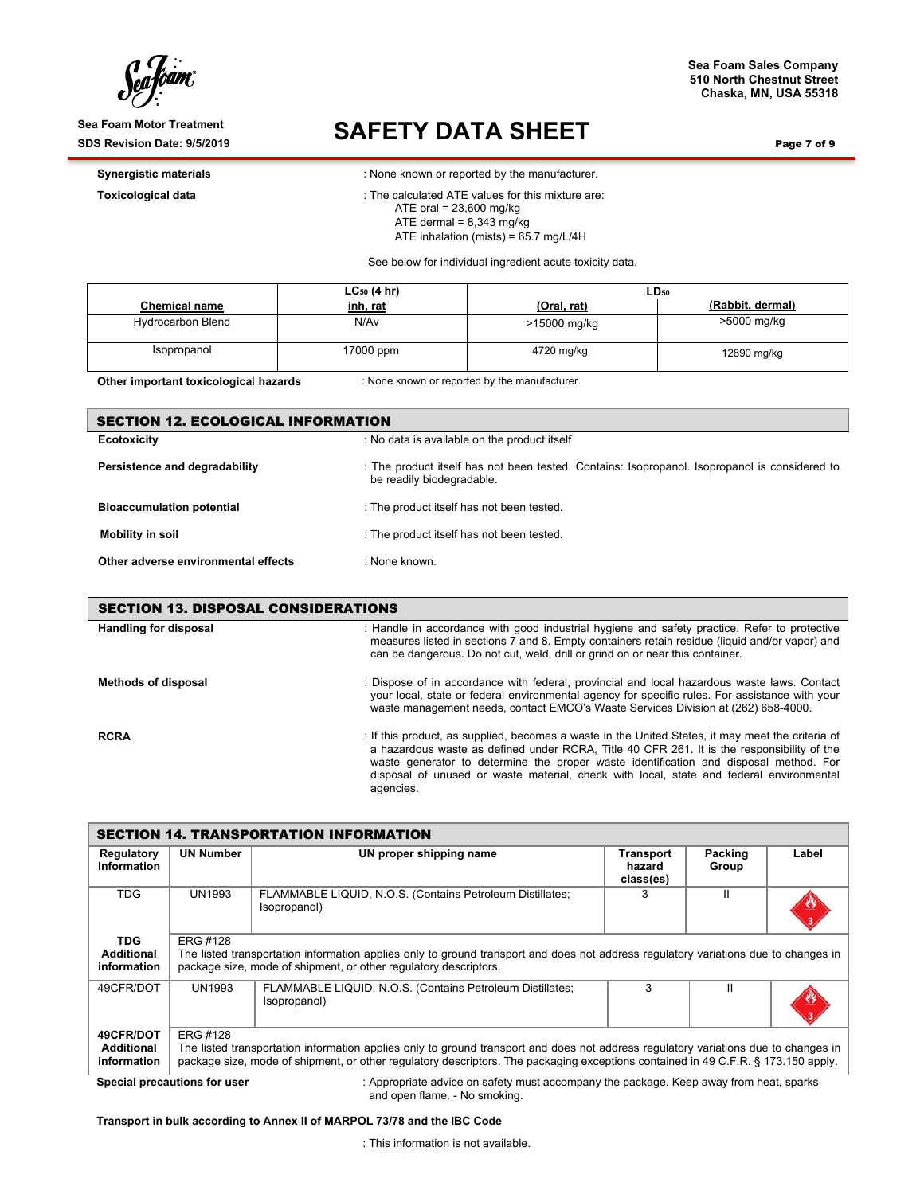ſ

Sea Foam Motor Treatment<br>
SDS Revision Date: 9/5/2019<br> **SAFETY DATA SHEET** 

**Sea Foam Sales Company 510 North Chestnut Street Chaska, MN, USA 55318**

Page 7 of 9

**Synergistic materials Synergistic materials in the manufacturer. Synergistic materials** 

**Toxicological data in the calculated ATE values for this mixture are:**  ATE oral = 23,600 mg/kg ATE dermal  $= 8,343$  mg/kg

ATE inhalation (mists) = 65.7 mg/L/4H

See below for individual ingredient acute toxicity data.

|                          | $LC_{50}$ (4 hr) |              | $LD_{50}$        |
|--------------------------|------------------|--------------|------------------|
| <b>Chemical name</b>     | inh, rat         | (Oral, rat)  | (Rabbit, dermal) |
| <b>Hydrocarbon Blend</b> | N/Av             | >15000 mg/kg | >5000 mg/kg      |
| Isopropanol              | 17000 ppm        | 4720 mg/kg   | 12890 mg/kg      |

**Other important toxicological hazards** : None known or reported by the manufacturer.

| <b>SECTION 12. ECOLOGICAL INFORMATION</b> |                                                                                                                            |  |  |  |
|-------------------------------------------|----------------------------------------------------------------------------------------------------------------------------|--|--|--|
| <b>Ecotoxicity</b>                        | : No data is available on the product itself                                                                               |  |  |  |
| Persistence and degradability             | : The product itself has not been tested. Contains: Isopropanol. Isopropanol is considered to<br>be readily biodegradable. |  |  |  |
| <b>Bioaccumulation potential</b>          | : The product itself has not been tested.                                                                                  |  |  |  |
| Mobility in soil                          | : The product itself has not been tested.                                                                                  |  |  |  |
| Other adverse environmental effects       | : None known.                                                                                                              |  |  |  |

| <b>SECTION 13. DISPOSAL CONSIDERATIONS</b> |                                                                                                                                                                                                                                                                                                                                                                                                  |  |  |  |
|--------------------------------------------|--------------------------------------------------------------------------------------------------------------------------------------------------------------------------------------------------------------------------------------------------------------------------------------------------------------------------------------------------------------------------------------------------|--|--|--|
| <b>Handling for disposal</b>               | : Handle in accordance with good industrial hygiene and safety practice. Refer to protective<br>measures listed in sections 7 and 8. Empty containers retain residue (liquid and/or vapor) and<br>can be dangerous. Do not cut, weld, drill or grind on or near this container.                                                                                                                  |  |  |  |
| <b>Methods of disposal</b>                 | : Dispose of in accordance with federal, provincial and local hazardous waste laws. Contact<br>your local, state or federal environmental agency for specific rules. For assistance with your<br>waste management needs, contact EMCO's Waste Services Division at (262) 658-4000.                                                                                                               |  |  |  |
| <b>RCRA</b>                                | : If this product, as supplied, becomes a waste in the United States, it may meet the criteria of<br>a hazardous waste as defined under RCRA, Title 40 CFR 261. It is the responsibility of the<br>waste generator to determine the proper waste identification and disposal method. For<br>disposal of unused or waste material, check with local, state and federal environmental<br>agencies. |  |  |  |

| <b>SECTION 14. TRANSPORTATION INFORMATION</b>                                                                                  |                                                                                                                                                                                                                                                                                             |                                                                           |                                  |                  |       |
|--------------------------------------------------------------------------------------------------------------------------------|---------------------------------------------------------------------------------------------------------------------------------------------------------------------------------------------------------------------------------------------------------------------------------------------|---------------------------------------------------------------------------|----------------------------------|------------------|-------|
| Regulatory<br>Information                                                                                                      | <b>UN Number</b>                                                                                                                                                                                                                                                                            | UN proper shipping name                                                   | Transport<br>hazard<br>class(es) | Packing<br>Group | Label |
| TDG                                                                                                                            | <b>UN1993</b>                                                                                                                                                                                                                                                                               | FLAMMABLE LIQUID, N.O.S. (Contains Petroleum Distillates;<br>Isopropanol) | 3                                |                  |       |
| <b>TDG</b><br><b>Additional</b><br>information                                                                                 | ERG #128<br>The listed transportation information applies only to ground transport and does not address regulatory variations due to changes in<br>package size, mode of shipment, or other regulatory descriptors.                                                                         |                                                                           |                                  |                  |       |
| 49CFR/DOT                                                                                                                      | <b>UN1993</b>                                                                                                                                                                                                                                                                               | FLAMMABLE LIQUID, N.O.S. (Contains Petroleum Distillates;<br>Isopropanol) | 3                                |                  |       |
| 49CFR/DOT<br><b>Additional</b><br>information                                                                                  | <b>ERG #128</b><br>The listed transportation information applies only to ground transport and does not address regulatory variations due to changes in<br>package size, mode of shipment, or other regulatory descriptors. The packaging exceptions contained in 49 C.F.R. § 173.150 apply. |                                                                           |                                  |                  |       |
| . Announced at the same of the meet second program the nodes of the same countries had speaked<br>Cassial assessitess for uses |                                                                                                                                                                                                                                                                                             |                                                                           |                                  |                  |       |

**Special precautions for user intercal comparts**: Appropriate advice on safety must accompany the package. Keep away from heat, sparks and open flame. - No smoking.

**Transport in bulk according to Annex II of MARPOL 73/78 and the IBC Code**

: This information is not available.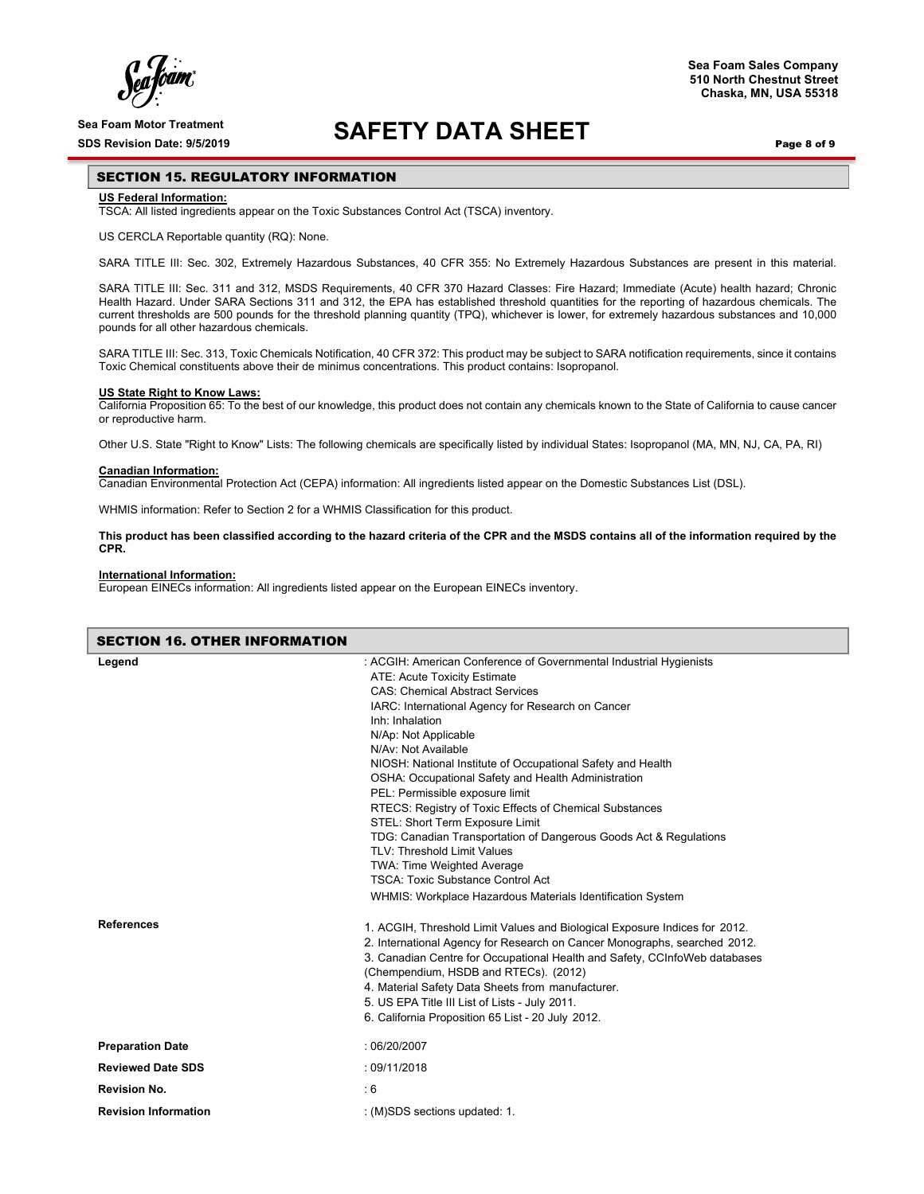ſ

### Sea Foam Motor Treatment<br>SDS Revision Date: 9/5/2019<br>**SAFETY DATA SHEET**

Page 8 of 9

**Sea Foam Sales Company 510 North Chestnut Street Chaska, MN, USA 55318**

#### SECTION 15. REGULATORY INFORMATION

#### **US Federal Information:**

TSCA: All listed ingredients appear on the Toxic Substances Control Act (TSCA) inventory.

#### US CERCLA Reportable quantity (RQ): None.

SARA TITLE III: Sec. 302, Extremely Hazardous Substances, 40 CFR 355: No Extremely Hazardous Substances are present in this material.

SARA TITLE III: Sec. 311 and 312, MSDS Requirements, 40 CFR 370 Hazard Classes: Fire Hazard; Immediate (Acute) health hazard; Chronic Health Hazard. Under SARA Sections 311 and 312, the EPA has established threshold quantities for the reporting of hazardous chemicals. The current thresholds are 500 pounds for the threshold planning quantity (TPQ), whichever is lower, for extremely hazardous substances and 10,000 pounds for all other hazardous chemicals.

SARA TITLE III: Sec. 313, Toxic Chemicals Notification, 40 CFR 372: This product may be subject to SARA notification requirements, since it contains Toxic Chemical constituents above their de minimus concentrations. This product contains: Isopropanol.

#### **US State Right to Know Laws:**

California Proposition 65: To the best of our knowledge, this product does not contain any chemicals known to the State of California to cause cancer or reproductive harm.

Other U.S. State "Right to Know" Lists: The following chemicals are specifically listed by individual States: Isopropanol (MA, MN, NJ, CA, PA, RI)

#### **Canadian Information:**

Canadian Environmental Protection Act (CEPA) information: All ingredients listed appear on the Domestic Substances List (DSL).

WHMIS information: Refer to Section 2 for a WHMIS Classification for this product.

**This product has been classified according to the hazard criteria of the CPR and the MSDS contains all of the information required by the CPR.**

#### **International Information:**

European EINECs information: All ingredients listed appear on the European EINECs inventory.

| <b>SECTION 16. OTHER INFORMATION</b> |                                                                                                                                                                                                                                                                                                                                                                                                                                                                                                                                                                                                                                                                                                                                                                               |
|--------------------------------------|-------------------------------------------------------------------------------------------------------------------------------------------------------------------------------------------------------------------------------------------------------------------------------------------------------------------------------------------------------------------------------------------------------------------------------------------------------------------------------------------------------------------------------------------------------------------------------------------------------------------------------------------------------------------------------------------------------------------------------------------------------------------------------|
| Legend                               | : ACGIH: American Conference of Governmental Industrial Hygienists<br>ATE: Acute Toxicity Estimate<br><b>CAS: Chemical Abstract Services</b><br>IARC: International Agency for Research on Cancer<br>Inh: Inhalation<br>N/Ap: Not Applicable<br>N/Av: Not Available<br>NIOSH: National Institute of Occupational Safety and Health<br>OSHA: Occupational Safety and Health Administration<br>PEL: Permissible exposure limit<br>RTECS: Registry of Toxic Effects of Chemical Substances<br>STEL: Short Term Exposure Limit<br>TDG: Canadian Transportation of Dangerous Goods Act & Regulations<br><b>TLV: Threshold Limit Values</b><br>TWA: Time Weighted Average<br><b>TSCA: Toxic Substance Control Act</b><br>WHMIS: Workplace Hazardous Materials Identification System |
| <b>References</b>                    | 1. ACGIH, Threshold Limit Values and Biological Exposure Indices for 2012.<br>2. International Agency for Research on Cancer Monographs, searched 2012.<br>3. Canadian Centre for Occupational Health and Safety, CCInfoWeb databases<br>(Chempendium, HSDB and RTECs). (2012)<br>4. Material Safety Data Sheets from manufacturer.<br>5. US EPA Title III List of Lists - July 2011.<br>6. California Proposition 65 List - 20 July 2012.                                                                                                                                                                                                                                                                                                                                    |
| <b>Preparation Date</b>              | :06/20/2007                                                                                                                                                                                                                                                                                                                                                                                                                                                                                                                                                                                                                                                                                                                                                                   |
| <b>Reviewed Date SDS</b>             | :09/11/2018                                                                                                                                                                                                                                                                                                                                                                                                                                                                                                                                                                                                                                                                                                                                                                   |
| <b>Revision No.</b>                  | :6                                                                                                                                                                                                                                                                                                                                                                                                                                                                                                                                                                                                                                                                                                                                                                            |
| <b>Revision Information</b>          | : (M)SDS sections updated: 1.                                                                                                                                                                                                                                                                                                                                                                                                                                                                                                                                                                                                                                                                                                                                                 |